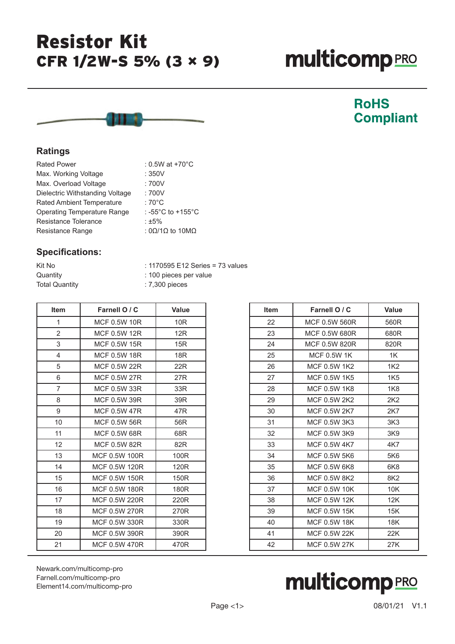## Resistor Kit CFR 1/2W-S 5% (3 × 9)

# **multicomp**PRO



### **RoHS Compliant**

#### **Ratings**

| : 0.5W at +70°C                           |
|-------------------------------------------|
| :350V                                     |
| :700V                                     |
| :700V                                     |
| : $70^{\circ}$ C                          |
| : -55 $^{\circ}$ C to +155 $^{\circ}$ C   |
| : $±5%$                                   |
| : $0\Omega/1\Omega$ to $10\text{M}\Omega$ |
|                                           |

#### **Specifications:**

Quantity : 100 pieces per value

Kit No : 1170595 E12 Series = 73 values

| <b>Total Quantity</b> | : 7,300 pieces       |                  |
|-----------------------|----------------------|------------------|
| <b>Item</b>           | Farnell O / C        | <b>Value</b>     |
| 1                     | <b>MCF 0.5W 10R</b>  | 10 <sub>R</sub>  |
| $\overline{2}$        | <b>MCF 0.5W 12R</b>  | 12R              |
| 3                     | <b>MCF 0.5W 15R</b>  | 15R              |
| 4                     | <b>MCF 0.5W 18R</b>  | <b>18R</b>       |
| 5                     | <b>MCF 0.5W 22R</b>  | 22R              |
| 6                     | MCF 0.5W 27R         | 27R              |
| 7                     | MCF 0.5W 33R         | 33R              |
| 8                     | MCF 0.5W 39R         | 39R              |
| 9                     | MCF 0.5W 47R         | 47R              |
| 10                    | MCF 0.5W 56R         | 56R              |
| 11                    | MCF 0.5W 68R         | 68R              |
| 12                    | <b>MCF 0.5W 82R</b>  | 82R              |
| 13                    | MCF 0.5W 100R        | 100R             |
| 14                    | MCF 0.5W 120R        | 120 <sub>R</sub> |
| 15                    | MCF 0.5W 150R        | 150R             |
| 16                    | MCF 0.5W 180R        | 180R             |
| 17                    | MCF 0.5W 220R        | 220R             |
| 18                    | MCF 0.5W 270R        | 270R             |
| 19                    | MCF 0.5W 330R        | 330R             |
| 20                    | MCF 0.5W 390R        | 390R             |
| 21                    | <b>MCF 0.5W 470R</b> | 470R             |
|                       |                      |                  |

| <b>Item</b> | Farnell O / C       | Value           |
|-------------|---------------------|-----------------|
| 22          | MCF 0.5W 560R       | 560R            |
| 23          | MCF 0.5W 680R       | 680R            |
| 24          | MCF 0.5W 820R       | 820R            |
| 25          | <b>MCF 0.5W 1K</b>  | 1K              |
| 26          | MCF 0.5W 1K2        | 1K <sub>2</sub> |
| 27          | MCF 0.5W 1K5        | 1K <sub>5</sub> |
| 28          | MCF 0.5W 1K8        | 1K8             |
| 29          | MCF 0.5W 2K2        | 2K2             |
| 30          | MCF 0.5W 2K7        | 2K7             |
| 31          | MCF 0.5W 3K3        | 3K <sub>3</sub> |
| 32          | MCF 0.5W 3K9        | 3K9             |
| 33          | MCF 0.5W 4K7        | 4K7             |
| 34          | MCF 0.5W 5K6        | 5K6             |
| 35          | MCF 0.5W 6K8        | 6K8             |
| 36          | MCF 0.5W 8K2        | 8K <sub>2</sub> |
| 37          | <b>MCF 0.5W 10K</b> | 10K             |
| 38          | <b>MCF 0.5W 12K</b> | 12K             |
| 39          | <b>MCF 0.5W 15K</b> | 15K             |
| 40          | <b>MCF 0.5W 18K</b> | 18K             |
| 41          | <b>MCF 0.5W 22K</b> | 22K             |
| 42          | MCF 0.5W 27K        | 27K             |

[Newark.com/multicomp-](https://www.newark.com/multicomp-pro)pro [Farnell.com/multicomp](https://www.farnell.com/multicomp-pro)-pro [Element14.com/multicomp-pro](https://element14.com/multicomp-pro)